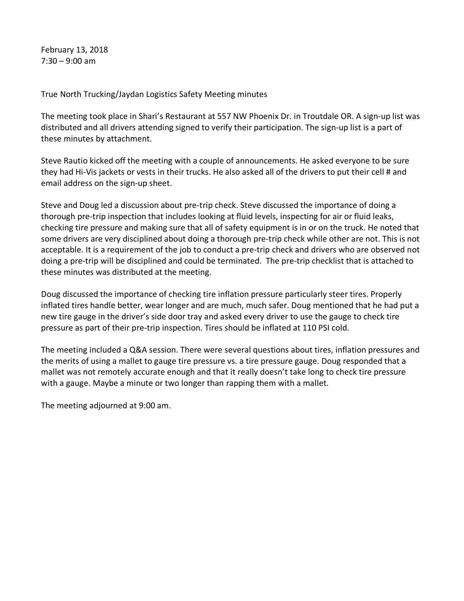February 13, 2018  $7:30 - 9:00$  am

True North Trucking/Jaydan Logistics Safety Meeting minutes

The meeting took place in Shari's Restaurant at 557 NW Phoenix Dr. in Troutdale OR. A sign-up list was distributed and all drivers attending signed to verify their participation. The sign-up list is a part of these minutes by attachment.

Steve Rautio kicked off the meeting with a couple of announcements. He asked everyone to be sure they had Hi-Vis jackets or vests in their trucks. He also asked all of the drivers to put their cell # and email address on the sign-up sheet.

Steve and Doug led a discussion about pre-trip check. Steve discussed the importance of doing a thorough pre-trip inspection that includes looking at fluid levels, inspecting for air or fluid leaks, checking tire pressure and making sure that all of safety equipment is in or on the truck. He noted that some drivers are very disciplined about doing a thorough pre-trip check while other are not. This is not acceptable. It is a requirement of the job to conduct a pre-trip check and drivers who are observed not doing a pre-trip will be disciplined and could be terminated. The pre-trip checklist that is attached to these minutes was distributed at the meeting.

Doug discussed the importance of checking tire inflation pressure particularly steer tires. Properly inflated tires handle better, wear longer and are much, much safer. Doug mentioned that he had put a new tire gauge in the driver's side door tray and asked every driver to use the gauge to check tire pressure as part of their pre-trip inspection. Tires should be inflated at 110 PSI cold.

The meeting included a Q&A session. There were several questions about tires, inflation pressures and the merits of using a mallet to gauge tire pressure vs. a tire pressure gauge. Doug responded that a mallet was not remotely accurate enough and that it really doesn't take long to check tire pressure with a gauge. Maybe a minute or two longer than rapping them with a mallet.

The meeting adjourned at 9:00 am.